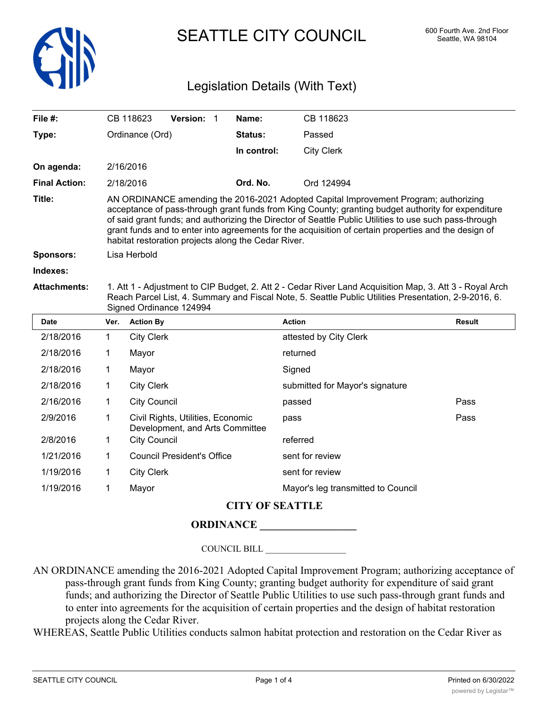

SEATTLE CITY COUNCIL 600 Fourth Ave. 2nd Floor

## Legislation Details (With Text)

| File #:              |                                                                                                                                                                                                                                                                                                                                                                                                                                                                     | CB 118623                                                            | Version: 1                        |  | Name:                  | CB 118623                          |               |  |  |
|----------------------|---------------------------------------------------------------------------------------------------------------------------------------------------------------------------------------------------------------------------------------------------------------------------------------------------------------------------------------------------------------------------------------------------------------------------------------------------------------------|----------------------------------------------------------------------|-----------------------------------|--|------------------------|------------------------------------|---------------|--|--|
| Type:                | Ordinance (Ord)                                                                                                                                                                                                                                                                                                                                                                                                                                                     |                                                                      |                                   |  | Status:                | Passed                             |               |  |  |
|                      |                                                                                                                                                                                                                                                                                                                                                                                                                                                                     |                                                                      |                                   |  | In control:            | <b>City Clerk</b>                  |               |  |  |
| On agenda:           |                                                                                                                                                                                                                                                                                                                                                                                                                                                                     | 2/16/2016                                                            |                                   |  |                        |                                    |               |  |  |
| <b>Final Action:</b> | 2/18/2016                                                                                                                                                                                                                                                                                                                                                                                                                                                           |                                                                      |                                   |  | Ord. No.               | Ord 124994                         |               |  |  |
| Title:               | AN ORDINANCE amending the 2016-2021 Adopted Capital Improvement Program; authorizing<br>acceptance of pass-through grant funds from King County; granting budget authority for expenditure<br>of said grant funds; and authorizing the Director of Seattle Public Utilities to use such pass-through<br>grant funds and to enter into agreements for the acquisition of certain properties and the design of<br>habitat restoration projects along the Cedar River. |                                                                      |                                   |  |                        |                                    |               |  |  |
| Sponsors:            | Lisa Herbold                                                                                                                                                                                                                                                                                                                                                                                                                                                        |                                                                      |                                   |  |                        |                                    |               |  |  |
| Indexes:             |                                                                                                                                                                                                                                                                                                                                                                                                                                                                     |                                                                      |                                   |  |                        |                                    |               |  |  |
| <b>Attachments:</b>  | 1. Att 1 - Adjustment to CIP Budget, 2. Att 2 - Cedar River Land Acquisition Map, 3. Att 3 - Royal Arch<br>Reach Parcel List, 4. Summary and Fiscal Note, 5. Seattle Public Utilities Presentation, 2-9-2016, 6.<br>Signed Ordinance 124994                                                                                                                                                                                                                         |                                                                      |                                   |  |                        |                                    |               |  |  |
| <b>Date</b>          | Ver.                                                                                                                                                                                                                                                                                                                                                                                                                                                                | <b>Action By</b>                                                     |                                   |  |                        | <b>Action</b>                      | <b>Result</b> |  |  |
| 2/18/2016            | 1                                                                                                                                                                                                                                                                                                                                                                                                                                                                   | <b>City Clerk</b>                                                    |                                   |  |                        | attested by City Clerk             |               |  |  |
| 2/18/2016            | 1                                                                                                                                                                                                                                                                                                                                                                                                                                                                   | returned<br>Mayor                                                    |                                   |  |                        |                                    |               |  |  |
| 2/18/2016            | 1                                                                                                                                                                                                                                                                                                                                                                                                                                                                   | Mayor                                                                | Signed                            |  |                        |                                    |               |  |  |
| 2/18/2016            | 1                                                                                                                                                                                                                                                                                                                                                                                                                                                                   | <b>City Clerk</b>                                                    |                                   |  |                        | submitted for Mayor's signature    |               |  |  |
| 2/16/2016            | 1                                                                                                                                                                                                                                                                                                                                                                                                                                                                   |                                                                      | <b>City Council</b><br>passed     |  |                        |                                    | Pass          |  |  |
| 2/9/2016             | 1                                                                                                                                                                                                                                                                                                                                                                                                                                                                   | Civil Rights, Utilities, Economic<br>Development, and Arts Committee |                                   |  | pass                   | Pass                               |               |  |  |
| 2/8/2016             | 1                                                                                                                                                                                                                                                                                                                                                                                                                                                                   | <b>City Council</b><br>referred                                      |                                   |  |                        |                                    |               |  |  |
| 1/21/2016            | 1                                                                                                                                                                                                                                                                                                                                                                                                                                                                   |                                                                      | <b>Council President's Office</b> |  |                        | sent for review                    |               |  |  |
| 1/19/2016            | 1                                                                                                                                                                                                                                                                                                                                                                                                                                                                   | <b>City Clerk</b>                                                    |                                   |  |                        | sent for review                    |               |  |  |
| 1/19/2016            | 1                                                                                                                                                                                                                                                                                                                                                                                                                                                                   | Mayor                                                                |                                   |  |                        | Mayor's leg transmitted to Council |               |  |  |
|                      |                                                                                                                                                                                                                                                                                                                                                                                                                                                                     |                                                                      |                                   |  | <b>CITY OF SEATTLE</b> |                                    |               |  |  |

## **ORDINANCE**

COUNCIL BILL \_\_\_\_\_\_\_\_\_\_\_\_\_\_\_\_\_\_

AN ORDINANCE amending the 2016-2021 Adopted Capital Improvement Program; authorizing acceptance of pass-through grant funds from King County; granting budget authority for expenditure of said grant funds; and authorizing the Director of Seattle Public Utilities to use such pass-through grant funds and to enter into agreements for the acquisition of certain properties and the design of habitat restoration projects along the Cedar River.

WHEREAS, Seattle Public Utilities conducts salmon habitat protection and restoration on the Cedar River as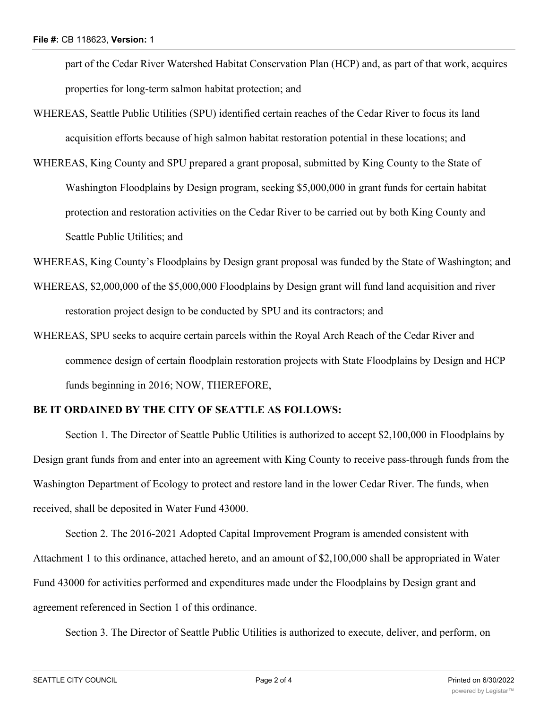part of the Cedar River Watershed Habitat Conservation Plan (HCP) and, as part of that work, acquires properties for long-term salmon habitat protection; and

- WHEREAS, Seattle Public Utilities (SPU) identified certain reaches of the Cedar River to focus its land acquisition efforts because of high salmon habitat restoration potential in these locations; and
- WHEREAS, King County and SPU prepared a grant proposal, submitted by King County to the State of Washington Floodplains by Design program, seeking \$5,000,000 in grant funds for certain habitat protection and restoration activities on the Cedar River to be carried out by both King County and Seattle Public Utilities; and

WHEREAS, King County's Floodplains by Design grant proposal was funded by the State of Washington; and

- WHEREAS, \$2,000,000 of the \$5,000,000 Floodplains by Design grant will fund land acquisition and river restoration project design to be conducted by SPU and its contractors; and
- WHEREAS, SPU seeks to acquire certain parcels within the Royal Arch Reach of the Cedar River and commence design of certain floodplain restoration projects with State Floodplains by Design and HCP funds beginning in 2016; NOW, THEREFORE,

## **BE IT ORDAINED BY THE CITY OF SEATTLE AS FOLLOWS:**

Section 1. The Director of Seattle Public Utilities is authorized to accept \$2,100,000 in Floodplains by Design grant funds from and enter into an agreement with King County to receive pass-through funds from the Washington Department of Ecology to protect and restore land in the lower Cedar River. The funds, when received, shall be deposited in Water Fund 43000.

Section 2. The 2016-2021 Adopted Capital Improvement Program is amended consistent with Attachment 1 to this ordinance, attached hereto, and an amount of \$2,100,000 shall be appropriated in Water Fund 43000 for activities performed and expenditures made under the Floodplains by Design grant and agreement referenced in Section 1 of this ordinance.

Section 3. The Director of Seattle Public Utilities is authorized to execute, deliver, and perform, on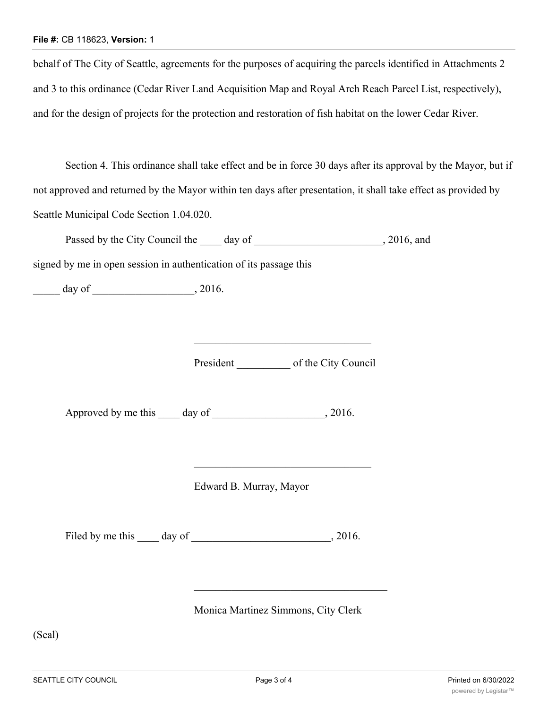## **File #:** CB 118623, **Version:** 1

behalf of The City of Seattle, agreements for the purposes of acquiring the parcels identified in Attachments 2 and 3 to this ordinance (Cedar River Land Acquisition Map and Royal Arch Reach Parcel List, respectively), and for the design of projects for the protection and restoration of fish habitat on the lower Cedar River.

Section 4. This ordinance shall take effect and be in force 30 days after its approval by the Mayor, but if not approved and returned by the Mayor within ten days after presentation, it shall take effect as provided by Seattle Municipal Code Section 1.04.020.

Passed by the City Council the day of 3016, and

signed by me in open session in authentication of its passage this

 $\frac{1}{\sqrt{2}}$  day of  $\frac{1}{\sqrt{2}}$ , 2016.

President of the City Council

Approved by me this \_\_\_\_ day of \_\_\_\_\_\_\_\_\_\_\_\_\_\_\_\_\_, 2016.

Edward B. Murray, Mayor

Filed by me this day of , 2016.

Monica Martinez Simmons, City Clerk

(Seal)